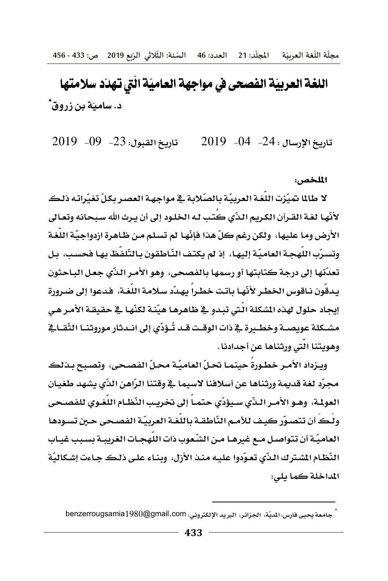# اللغة العربيّة الفصحى في مواجهة العاميّة الّتي تهدّد سلامتها د. ساميّة بن زروق ً

تاريخ القبول: 23- 09- 2019  $2019 - 04 - 24$ . تاريخ الإرسال

#### الملخص:

لا طالما تميّزت اللّغة العربيّة بالصّلابة في مواجهة العصر بكلّ تغيّراته ذلك لأنّها لغة القرآن الكريم النّي كَتب له الخلود إلى أن يرث الله سبحانه وتعالى الأرض وما عليها، ولكن رغم كلِّ هذا فإنَّها لم تسلم من ظاهرة ازدواجيّة اللغـة وتسرّب اللّهجـة العاميّة إليهـا، ۖ إذ لم يكتف النّاطقون بـالتّلفّظ بهـا فحسب، بـل تعدّتها إلى درجة كتابتها أو رسمها بالفصحى، وهو الأمـر الذّي جعـل البـاحثون يدقُون نـاقوس الخطـر لأنّهـا بـاتت خطـراً يهـدّد سـلامـة اللّغـة، فـدعوا إلى ضـرورةٍ إيجاد حلول لهذه الشكلة الّتي تبدو \_ ظظاهرهـا هيّنـة لكنّهـا \_ الحقيقـة الأمـر هـي مشــكلة عويصــة وخطــيرة ــِجْـذات الوقــت قــد تُــؤدّي إلى انــدثار موروثنــا الثّقــاــِجْـ وهويتنا التي ورثناها عن أجدادنا.

ويـزداد الأمـر خطـورة حينمـا تحـلّ العاميّـة محـلّ الفصـحى، وتصبح بـذلك مجرِّد لغة قديمة ورثناها عن أسلافنا لاسيما في وقتنا الرّاهن الذّي يشهد طغيان العولمة، وهـو الأمـر الـذّي سـبؤدّي حتمـاً إلى تخريب النّظـام اللّغـوي للفصـحي ولُـكُ أن تتصـوّر كيـف للأمـم النّاطقـة باللّغـة العربيّـة الفصـحى حـين تسـودهـا العاميّة أن تتواصل مـع غيرهـا مـن الشّعوب ذات اللّهجـات الغريبـة بسـبب غيـاب النّظام الشترك الذّي تعوّدوا عليه منذ الأزل، وبنـاء علـى ذلـك جـاءت إشكاليّة المداخلة كما يلي:

جامعة يحيى فارس، المديّة، الجزائر، البريد الإلكتروني: benzerrougsamia $1980$ @gmail.com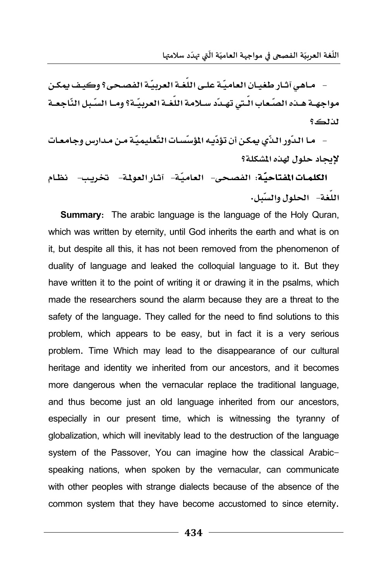- مـاهي آثـار طغيـان العاميّـة علـي اللّغـة العربيّـة الفصـحي؟ وكيـف يمكـن مواجهــة هــده الصّـعاب الــتي تهــدّد ســلامـة اللغــة العربيّــة؟ ومــا السّـبل النّـاجعــة **#3؟** 

+ ما الدّور الذّي يمكن أن تؤدّيه المؤسّسات التّعليميّة من مدارس وجامعـات **لايحاد حلول ل***هذه* **المشكلة؟** 

ا**لكلمـات المفتاحيّة: الفصحي- العاميّة- آثـار العولمة- لتخريــــ- لظـام** اللغة- الحلول وال*سنّ*ل.

**Summary:** The arabic language is the language of the Holy Quran, which was written by eternity, until God inherits the earth and what is on it, but despite all this, it has not been removed from the phenomenon of duality of language and leaked the colloquial language to it. But they have written it to the point of writing it or drawing it in the psalms, which made the researchers sound the alarm because they are a threat to the safety of the language. They called for the need to find solutions to this problem, which appears to be easy, but in fact it is a very serious problem. Time Which may lead to the disappearance of our cultural heritage and identity we inherited from our ancestors, and it becomes more dangerous when the vernacular replace the traditional language, and thus become just an old language inherited from our ancestors, especially in our present time, which is witnessing the tyranny of globalization, which will inevitably lead to the destruction of the language system of the Passover, You can imagine how the classical Arabicspeaking nations, when spoken by the vernacular, can communicate with other peoples with strange dialects because of the absence of the common system that they have become accustomed to since eternity.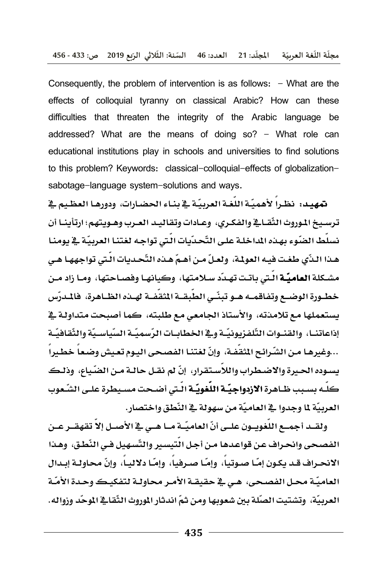Consequently, the problem of intervention is as follows:  $-$  What are the effects of colloquial tyranny on classical Arabic? How can these difficulties that threaten the integrity of the Arabic language be addressed? What are the means of doing so? - What role can educational institutions play in schools and universities to find solutions to this problem? Keywords: classical-colloquial-effects of globalizationsabotage-language system-solutions and ways.

تمهيد: نظراً لأهميّة اللّغة العربيّة في بناء الحضارات، ودورهـا العظيم في ترسيخ الموروث الثِّقباقي والفكري، وعبادات وتقاليد العبرب وهنويتهم؛ ارتِأينيا أن نسلِّط الضّوءِ بهـذه الداخلـة علـى التّحـدّيات الَّتى تواجـه لغتنـا العربيّـة \_2ْ يومنـا هـذا الـذّي طغـت فيـه العولـة، ولعـلّ مـن أهـمّ هـذه التّحـديات الـٰتي تواجههـا هـي مشـكلة **العامـّـة** الّـتي باتـت تهـدّد سـلامـتها، وكبـانهـا وفصـاحـتها، ومـا زاد مـن خطـورة الوضـــع وتفـاقمـــه هــو تبنّــى الطّبقــة المثقفــة لهــده الظــاهـرة، فالمــرّس يستعملها مع تلامذته، والأستاذ الجامعي مع طلبته، كما أصبحت متداولـة في إذاعاتنــا، والقنــوات التّلفـزيونيّــة و\_2 الخطابــات الرّسميّــة السّياسـيّة والثّقـافيّــة ...وغيرهـا مـن الشّـرائـح المُقفـة، وإنّ لغتنـا الفصـحى اليـوم تعـيش وضـعـاً خطـيراً يسوده الحيرة والاضطراب واللاّستقرار، إنّ لم نقـل حالـة مـن الضّياع، وذلـك كلّه بسبب ظـاهرة الازدواجيّــة اللّغويّــة الّـتي أضـحت مسـيطرة علـى الشّـعوب العربيَّة لما وجدوا في العاميَّة من سهولة في النِّطق واختصار .

ولقــد أجمــع اللُّغويــون علــي أنّ العاميّــة مــا هــي في الأصــل إلاّ تقهقــر عــن الفصحي وانحراف عن قواعدها من أجل التيسير والتّسهيل في النّطق، وهذا الانحـراف قـد يكـون إمّـا صـوتياً، وإمّـا صـرفياً، وإمّـا دلاليـاً، وإنّ محاولـة إبـدال العاميّة محل الفصحي، هـي فج حقيقـة الأمـر محاولـة لتفكيـك وحـدة الأمّـة العربيَّة، وتشتبت الصِّلة بين شعوبها ومن ثمِّ اندثار الموروث الثِّقافي الموحِّد وزواله.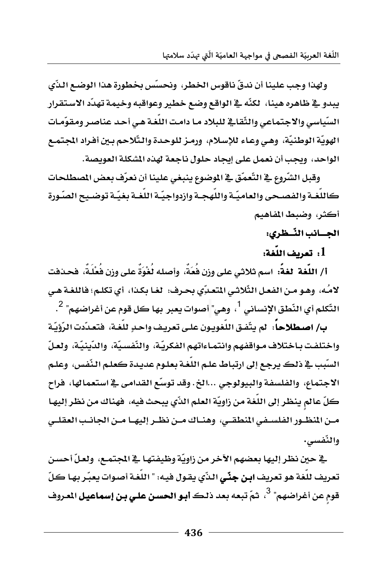ولهذا وجب علينا أن ندقّ ناقوس الخطر، ونحسّس بخطورة هذا الوضع الذّي يبدو في ظاهره هينا، لكنّه في الواقع وضع خطير وعواقبه وخيمة تهدّد الاستقرار. السّياسي والاجتماعي والثّقائ للبلاد مـا دامت اللغـة هـي أحـد عناصـر ومقوّمـات الهويّة الوطنيّة، وهي وعـاء للإسـلام، ورمـز للوحـدة والـتّلاحم بـين أفـراد المجتمـع الواحد، ويجب أن نعمل على إيجاد حلول ناجعة لهذه الشكلة العويصة.

وقبل الشّروع في التّعمّق في الموضوع ينبغي علينا أن نعرّف بعض المصطلحات كاللغـة والفصـحي والعاميّـة واللَّهجـة وازدواجيّـة اللُّغـة بغيّـة توضـيح الصّـورة أكثر، وضبط المفاهيم

### الجسانب النّسطري:

1. تعريف اللُّغة:

أ/ اللُّغة الغةً: اسم ثلاثي على وزن فُعَةٌ، وأصله لُغْوَةٌ على وزن فُعْلَةٌ، فحـدفت لامُه، وهـو مـن الفعـل الثِّلاثـي المتعـبِّي بحـرف: لغـا بكـذا، أي تكلـم؛ فاللغـة هـي التّكلم أي النّطق الإنساني <sup>1</sup>، وهي" أصوات يعبر بها كل قوم عن أغراضهم<sup>" 2</sup>.

بِ/ اصطلاحاً: لم يتّفق اللّغويـون علـى تعريـف واحـدٍ للّغـة، فتعـدّدت الرّؤيّة واختلفت بـاختلاف مـواقفهم وانتمـاءاتهم الفكريّـة، والنّفسـيّة، والدّينيّـة، ولعـلّ السّبب في ذلك يرجع إلى ارتباط علم اللغـة بعلـوم عديـدة كعلـم النّفس، وعلـم الاجتماع، والفلسفة والبيولوجي ...الخ. وقد توسّع القدامي في استعمالها، فراح كلِّ عالمٍ ينظر إلى اللُّغة من زاويَّة العلم الذِّي يبحث فيه، فهناك من نظر إليهـا مـن المنظـور الفلسـفي المنطقـي، وهنـاك مـن نظـر إليهـا مـن الجانـب العقلـي والنّفسي.

ية حين نظر إليها بعضهم الآخر من زاويّة وظيفتهـا ـ2 المجتمـع، ولعـلّ أحسـن تعريف للُّغة هو تعريف ابن جِنِّي الذِّي يقول فيه: " اللُّغة أصوات يعبِّر بها كلِّ قوم عن أغراضهم" <sup>3</sup>، ثمّ تبعه بعد ذلك **أبو الحسن على بن إسماعيل** المروف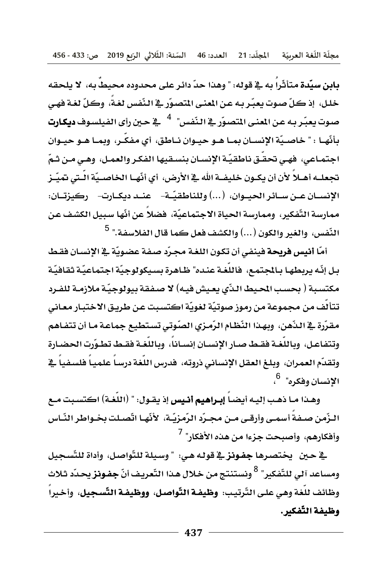مجلَّة اللُّغة العربيّة المجلَّد: 21 العدد: 46 السَّنة: الثَّلاثي الرَّبع 2019 ص: 433 - 456

بابن سبِّدة متأثِّراً به في قوله: " وهذا حدِّ دائر على محدوده محيطاً به، لا يلحقه خلل، إذ كلِّ صوتٍ يعبِّر به عن المني التصوِّرِ في النَّفسِ لغةً، وكلِّ لغة فهي صوت يعبّر به عن المني المتصوّر في النّفس" <sup>4</sup> في حين رأى الفيلسوف **ديكارت** يأنّها : " خاصيّة الإنسـان بمـا هـو حيـوان نـاطق، أي مفكّر، وبمـا هـو حيـوان اجتمـاعي، فهـي تحقـّق ناطقيّة الإنسـان بنسـقيها الفكـر والعمـل، وهـي مـن شمّ تجعلــه أهــلاً لأن أن يكــون خليفــة الله ــِع الأرض، أي أنّهــا الخاصــيّة الـّـتي تميّــز الإنســان عــن ســائـر الحبــوان، (...) وللناطقيّــة- \_ عنــد ديكــارت- \_ ركبـزتــان: ممارسة التّفكير، وممارسة الحياة الاجتماعيّة، فضلاً عن أنّها سبيل الكشف عن النّفس، والغير والكون (...) والكشف فعل كما قال الفلاسفة." <sup>5</sup>

أمَّا أنيس فربحة فينفي أن تكون اللغة مجرِّد صفة عضويَّة في الإنسان فقط بل إنّه يربطهـا بـالجـتمـع، فاللّغـة عنـده" ظـاهـرة بسـيكولوجيّة اجـتماعيّـة ثقـافيّـة مكتسبة ( بحسب الحيط الذّي يعيش فيه) لا صفقة بيولوجيّة ملازمـة للفـرد تتألَّف من مجموعة من رموز صوتيَّة لغويَّة اكتسبت عن طريق الاختبار معاني مقرّرة \_2ْ النّهن، وبهذا النّظام الرّمزي الصّوتي تستطيع جماعـة مـا أن تتفـاهم وتتفاعل، وباللُّغـة فقـط صـار الإنسـان إنسـاناً، وباللُّغـة فقـط تطـوّرت الحضـارة وتقدّم العمران، وبلـغ العقل الإنساني ذروته، فدرس اللُّغة درساً علمياً فلسفياً في الانسان وفكره". <sup>6</sup>،

وهـذا مـا ذهـب إليـه أيضـاً **إبـراهيم أنـيس** إذ يـقـول: " (اللُّغـة) اكتسـبت مـع البزِّمن صيفةُ أسمي وأرقِي من مجبرِّدِ الرِّمزيَّـة، الأنَّهـا اتَّصِيلت بخبواطرِ النَّباس وأفكارهم، وأصبحت جزءا من هذه الأفكار" <sup>7</sup>

<u>ِ لا حين - يختصرها جفونز لا قوله هي: " وسيلة للتّواصل، وأداة للتّسجيل</u> ومساعد آلى للتّفكير" <sup>8</sup> ونستنتج من خلال هـذا التّعريـف أنّ **جفـونز** يحـدّد ثـلاث وظائف للُّغة وهي على التَّرتيب: وظيفـة التَّواصل، ووظيفـة التَّسـجيل، وأخيرا وظيفة التّفكير.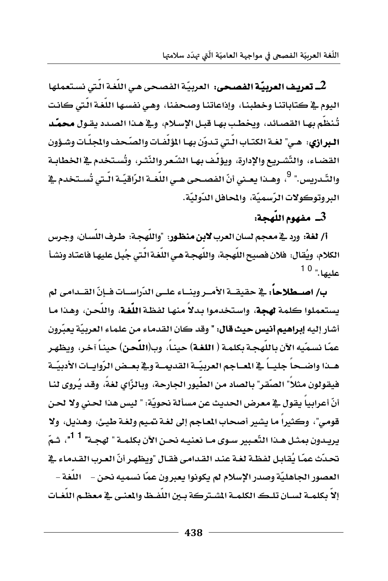اللُّغة العربيّة الفصحي في مواجهة العاميّة الَّتي تهدّد سلامتها

2ـ تعريف العربيّة الفصحي: العربيّة الفصحي هي اللّغة الّتي نستعملها. البوم فج كتاباتنا وخطبنا، وإذاعاتنا وصحفنا، وهي نفسها اللُّغة الَّتي كانت تُنظم بها القصائد، ويخطب بها قبل الإسلام، وفي هذا الصدد يقـول محمّد البرازي: هـي" لغـة الكتـاب الـتي تـدوّن بهـا المؤلّفـات والصّحف والمجلَّـات وشـؤون القضاء، والتّشريع والإدارة، ويؤلّف بهـا الشّعر والنّثـر، وتُستخدم في الخطابـة والتّـدريس." <sup>9</sup>، وهــدا يعــني أنّ الفصــحي هــي اللّغــة الرّاقيّــة الّـتي تُســتخدم <u>ـ</u>ـة البر وتوكولات الرّسميّة، والمحافل الدّوليّة.

### 3\_ مفهوم اللَّهجة:

أ/ لغة: ورد في معجم لسان العرب لابن منظور: "واللَّهجة: طرف اللِّسان، وجـرس الكلام، ويُقال: فلان فصيح اللَّهجة، واللَّهجـة هـى اللغـة الـتي جُبِـل عليهـا فاعتـاد ونشـأ عليها." <sup>10</sup>

ب/ اصبطلاحاً: في حقيقية الأمير وبنياء عليي الدِّراسيات فيإنِّ القيدامي لم يستعملوا كلمة لهجة، واستخدموا بدلاً منها لفظة اللُّغة، واللُّحن، وهذا مـا أشار إليه إمراهيم أنيس حيث قال: " وقد كان القدماء من علماء العربيَّة يعبِّرون عمّا نسمّيه الآن باللهجة بكلمة ( ا**للغة**) حينـا، وب(ا**للّحن**) حينـا آخـر، ويظهـر هبذا واضبحا جليبا فج المعاجم العربيّة القديمية وفج بعيض الرّوابيات الأدبيّية فيقولون مثلا" الصّقر" بالصاد من الطيور الجارحة، وبالزَّاي لغة، وقد يُروي لنـا أنّ أعرابياً يقول \_ معرض الحديث عن مسألة نحويّة: " ليس هذا لحنى ولا لحن قومي"، وكثيرا ما يشير أصحاب الماجم إلى لغة تميم ولغة طيئ، وهـذيل، ولا يريـدون بمثـل هـذا النَّعـبير *سـوى مــ*ا نعنيـه نحـن الآن بكلمــة " لهجــة" <sup>1 1</sup>"، شمّ تحدِّث عمّا يُقابل لفظة لغة عند القدامي فقال "ويظهر أنّ العرب القدماء في العصور الجاهليّة وصدر الإسلام لم يكونوا يعبرون عمّا نسميه نحن – اللّغة – إلا يكلمه لسيان تلك الكلمية الشيتركة سبن اللفيظ والمعنى في معظيم اللغيات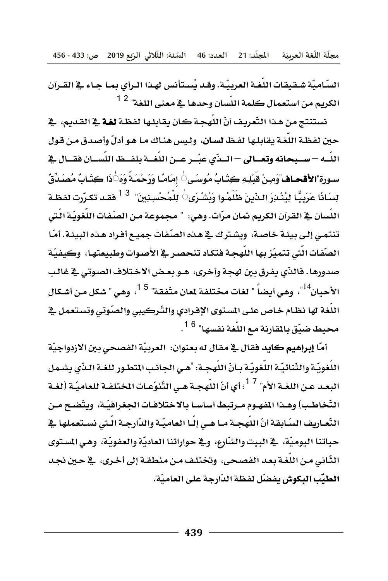مجلَّة اللُّغة العربيّة المجلَّد: 21 العدد: 46 السَّنة: الثَّلاثي الرَّبع 2019 ص: 433 - 456

السّاميّة شـقبقات اللّغـة العربيّـة. وقـد يُسـتأنس لهـذا الـرأى بمـا جـاء في القـرآن الكريم من استعمال كلمة اللّسان وحدها ـ2ْ معنى اللغة" <sup>2</sup> <sup>1</sup>

نستنتج من هذا التَّعريف أنّ اللهجـة كـان يقابلـها لفظـة لغـة \_في القـديم، \_في حين لفظة اللُّغة يقابلها لفظ لسان، وليس هناك ما هو أدلِّ وأصدق من قول اللَّــه – ســبحانه وتعــالى – الــدِّي عبّــر عــن اللّغــة بلفــظ اللّســان فقــال في سـورة"**الأقحـاف**"وَمِـنْ قَبْلِـهِ كِتَـابُ مُوسَـى $\stackrel{!}{\circ}$  إمَامًـا وَرَحْمَـةً وَهَ $\stackrel{!}{\circ}$ ذَا كِتَـابٌ مُصَـدّةٌ، لِسَانًا عَرَبِيًّا لِيُنْدِرَ النّينَ ظَلَمُوا وَبُشْرَى $\sim$  لِلْمُحْسِنِينَ"  $^{-3}$  فقد تكرّرت لفظـة اللِّسان ﴾ القرآن الكريم ثمان مرَّات. وهي: " مجموعة مـن الصِّفات اللُّغويَّـة الَّتي تنتمي إلى بيئـة خاصـة، ويشترك في هـذه الصّفات جميـع أفـراد هـذه البيئـة. أمّـا الصّفات الّتي تتميّز بها اللّهجـة فتكـاد تنحصـر في الأصـوات وطبيعتهـا، ۖ وكيفيّة صدورها. فالذِّي يفرق بين لهجة وأخرى، هـو بعـض الاخـتلاف الصوتي في غالب الأحبان<sup>14</sup>"، وهي أيضاً " لغات مختلفة لعان متّفقة" <sup>15</sup>، وهي " شكل من أشكال اللُّغة لها نظام خاص على المستوى الإفرادي والتَّركيبي والصَّوتي وتستعمل في محيط ضيّق بالمقارنة مع اللّغة نفسها" <sup>16</sup>.

أمّا **إبراهيم كايد** فقال <u>ي</u>ة مقال له بعنوان: العربيّة الفصحى بين الازدواجيّة اللُّغويّة والثِّنائيّة اللُّغويّة بـأنّ اللّهجـة: "هـي الجانب المتطـور للغـة الـذّي يشـمل البعد عن اللغـة الأم" <sup>17</sup>؛ أي أنّ اللّهجـة هـي التّنوّعـات المختلفـة للعاميّـة (لغـة التّخاطب) وهـذا الفهـوم مـرتبط أساسـا بالاختلافـات الجغرافيّـة، ويتّضـح مـن التَّعـاريف السّـابِقة أنّ اللَّهجـة مـا هـي إلّـا العاميّـة والدّارجـة الّـتي نسـتعملها \_في حياتنا اليوميّة، \_فـ البيت والشّارع، و\_فـ حواراتنا العاديّة والعفويّة، وهـي المستوى الثَّاني من اللُّغة بعد الفصحي، وتختلف من منطقـة إلى أخـري، في حـين نجـد الطيِّب البكوشِ يفضِّل لفظة الدَّارجة على العاميَّة.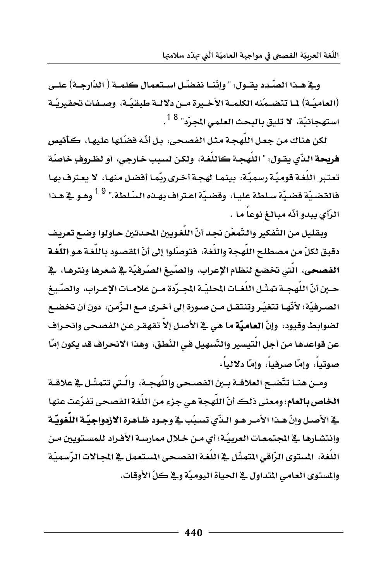وية هيذا الصّدد يقبول: " وإنّنيا نفضّل استعمال كلمية ( الدّارجية) علي (العاميّـة) 1ــا تتضــمّنه الكلمــة الأخــيرة مــن دلالــة طبقيّــة، وصــفـات تحقيريّــة استهجانيّة، لا تليق بالبحث العلمى المجرّد" <sup>18</sup> .

لكن هناك من جعل اللَّهجة مثل الفصحي، بل أنَّه فضَّلها عليها، كأنيس فريحة الذِّي يقول: " اللَّهجـة كاللُّغـة، ولكن لسبب خـارجـي، أو لظـروفٍ خاصَّة تعتبر اللُّغة قوميّة رسميّة، بينمـا لهجـة أخـري ربّمـا أفضل منهـا، لا يعـترف بهـا فالقضيّة قضيّة سـلطة عليـا، وقضيّة اعـتراف بهـذه السّـلطة." <sup>9</sup> <sup>1</sup> وهـو \_2 هـذا الرَّأِي بِبِدو أنَّه مبالغ نوعاً ما .

وبقليل من التّفكير والتّمعّن نجد أنّ اللّغويين المحدثين حـاولوا وضـع تعريف دقيق لكلّ من مصطلح اللَّهجة واللُّغة، فتوصَّلوا إلى أنّ المقصود باللُّغـة هـو اللُّغـة الفصحى، الَّتي تخضع لنظام الإعرابِ، والصِّيغِ الصَّرِفيَّةِ في شعرها ونثرهـا، في حـين أنّ اللَّهجــة تمثّـل اللُّغــات المحليّــة المجـرّدة مــن علامــات الإعــراب، والصّـيـغ الصـرفيّة؛ لأنّهـا تتغيّـر وتنتقـل مـن صـورة إلى أخـري مــع الـزّمـن، دون أن تخضــع لضوابط وقيود، وإنّ **العاميّة** ما هي <u>ي</u>ة الأصل إلاّ تقهقر عن الفصحى وانحراف عن قواعدها من أجل التيسير والتّسهيل في النّطق، وهذا الانحراف قد يكون إمّا صوتياً، وامّا صرفياً، وإمّا دلالياً٠

ومـن هنــا تتّضــح العلاقــة بــين الفصــحي واللّهجــة، والّـتي تتمثّـل في علاقــة الخاص بالعام؛ ومعنى ذلك أنَّ اللَّهجة هي جزءِ من اللُّغة الفصحي تفرِّعت عنها \_2 الأصل وإنّ هـذا الأمـر هـو الـذّي تسبّب \_2 وجـود ظـاهرة الازدواجيّـة اللُّغويّـة وانتشـارها ﴾ المجتمعـات العربيّة؛ أي مـن خـلال ممارسـة الأفـراد للمسـتويين مـن اللغة، المستوى الرّاقي المتمثّل في اللغـة الفصـحي المستعمل في المجـالات الرّسميّة والمستوى العامي المتداول في الحياة اليوميّة وفي كلّ الأوقات.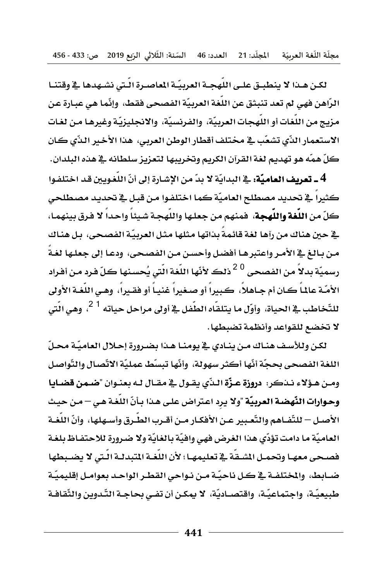مجلَّة اللُّغة العربيّة المجلَّد: 21 العدد: 46 السَّنة: الثِّلاثي الرِّنع 2019 ص: 433 - 456

لكن هـذا لا ينطبـق علـى اللَّهجـة العربيّـة الماصـرة الّـتي نشـهدها ﴾ وقتنـا الرّاهن فهي لم تعد تنبثق عن اللغة العربيّة الفصحي فقط، وإنّما هي عبـارة عن مزيج من اللغات أو اللهجات العربيّة، والفرنسيّة، والانجليزيّة وغيرهـا مـن لغـات الاستعمار الذِّي تشعَّب في مختلف أقطار الوطن العربي، هذا الأخير الذِّي كان كلِّ همّه هو تهديم لغة القرآن الكريم وتخريبها لتعزيز سلطانه في هذه البلدان.

4 ـ تعريف العاميّة: في البدايّة لا يبّ من الإشارة إلى أنّ اللّغويين قد اختلفوا كثيراً في تحديد مصطلح العاميّة كما اختلفوا من قبل في تحديد مصطلحي كلِّ من اللُّغة واللُّهجة، فمنهم من جعلها واللُّهجـة شيئاً واحداً لا فرق بينهمـا، \_2 حين هناك من رآها لغة قائمةً بذاتها مثلها مثل العربيّة الفصحى، بل هناك من بـالـغ في الأمـر واعتبرهـا أفضل وأحسـن مـن الفصـحي، ودعـا إلى جعلـها لغـة رسميّة بدلاً من الفصحي <sup>20</sup>ذلك لأنّها اللّغة الّتي يُحسنها كلّ فرد من أفراد الأمّـة عالماً كـان أم جـاهلاً، كـبيراً أو صـغيراً غنيـاً أو فقـيراً، وهـي اللّغـة الأولى للتّخاطب <u>بـ</u>ـة الحياة، وأوّل مـا يتلقّاه الطّفل ــِة أولى مـراحل حياته <sup>1 2</sup>، وهـى الّتى لا تخضع للقواعد وأنظمة تضبطها.

لكن وللأسف هنـاك مـن ينـادي \_2 يومنـا هـنـا بضـرورة إحـلال العاميّـة محـلّ اللغة الفصحي بحجّة أنّها أكثر سهولة، وأنّها تبسّط عمليّة الاتّصال والتّواصل ومـن هـؤلاءِ نــذكر: دروزة عـزّة الـدّي يقـول في مقـال لـه بعنـوان "ضـمـن قضـايـا وحوارات النَّهضة العربيَّة "ولا يرد اعتراض على هذا بـأنِّ اللُّغة هـي – مـن حيث الأصـل – للتِّضـاهم والتَّعـبير عـن الأفكـار مـن أقـرب الطـرق وأسـهلها، وأنّ اللغـة العاميّة ما دامت تؤدّى هذا الغرض فهي وافيّة بالغايّة ولا ضرورة للاحتفـاظ بلغـة فصحى معهـا وتحمـل المشـقة في تعليمهـا؛ لأن اللغـة المتبدلـة الـتي لا يضـبطها ضباط، والختلفية في كل ناحيّة من نـواحي القطـر الواحـد بعوامـل إقليميّة طبيعيّة، واجتماعيّة، واقتصـاديّة، لا يمكـن أن تفـي بحاجـة التّـدوين والثّقافـة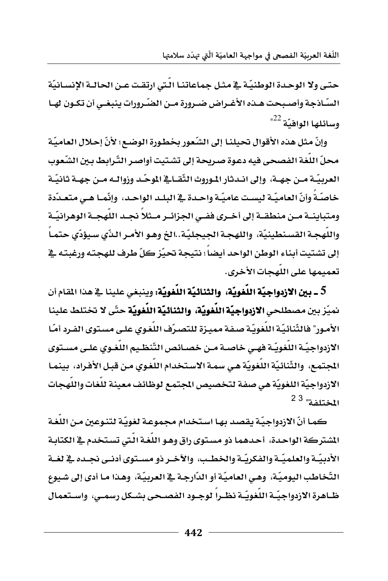حتى ولا الوحدة الوطنيّة في مثل جماعاتنـا الّتي ارتقت عـن الحالـة الإنسـانيّة السّـاذجة وأصـبحت هــذه الأغــراض ضــرورة مــن الضّـرورات ينبغــي أن تكــون لهــا  $^{122}$  وسائلها الوافيّة

وإنّ مثل هذه الأقوال تحيلنـا إلى الشّعور بخطـورة الوضـع؛ لأنّ إحـلال العـاميّة محلِّ اللُّغة الفصحى فيه دعوة صريحة إلى تشتيت أواصر التِّرابط بـين الشِّعوب العربيّــة مــن جهــة، وإلى انــدثار المـوروث الثّقــاــة الموحّــد وزوالــه مــن جهــة ثـانيّــة خاصّةً وأنّ العاميّة ليست عاميّة واحـدة في البلـد الواحـد، وإنّمـا هـي متعـدّدة ومتباينــة مــن منطقــة إلى أخــري ففــي الجزائــر مــثلا نجــد اللهجــة الوهرانيّــة واللهجـة القسـنطينيّة، واللهجـة الجيجليّة..الخ وهـو الأمـر الـذّي سـيؤدّي حتمـا إلى تشتيت أبناء الوطن الواحد أيضاً؛ نتيجة تحيّز كلّ طرف للهجته ورغبته في تعميمها على اللَّهجات الأخرى.

5 ــ بين الازدواجيّة اللّغويّة، والثنائيّة اللّغويّة: وينبغي علينا في هذا المقام أن نميّز بين مصطلحي الازدواجيّة اللّغويّة، والثنائيّة اللّغويّة حتّى لا تختلط علينا الأمور" فالثِّنائيّة اللُّغويّة صفة مميزة للتصرّف اللُّغوي على مستوى الفرد أمّا الازدواجيّـة اللغويّـة فهـي خاصـة مـن خصـائص التّنظـيم اللغـوي علـي مسـتوى المجتمع، والثِّنائيّة اللغويّة هي سمة الاستخدام اللغوي من قبل الأفراد، بينمـا الازدواجيّة اللغويّة هي صفة لتخصيص المجتمع لوظائف معينة للغات واللهجات المختلفة" <sup>23</sup>

كمـا أنّ الازدواجيّـة يقصد بهـا اسـتخدام مجموعـة لغويّـة لتنـوعين مـن اللغـة الشتركة الواحدة، أحدهما ذو مستوى راق وهـو اللُّغـة الَّتي تستخدم في الكتابـة الأدبيّــة والعلميّــة والفكريّــة والخطـب، والآخــر ذو مســتوى أدنــى نجــده \_2 لغــة التّخاطب اليوميّة، وهي العاميّة أو الدّارجـة في العربيّة، وهـذا مـا أدى إلى شـيوع ظـاهرةِ الأزدواجيّــةِ اللّغويّــة نظــرا لوجــود الفصــحي بشــكل رسمــي، واســتعمال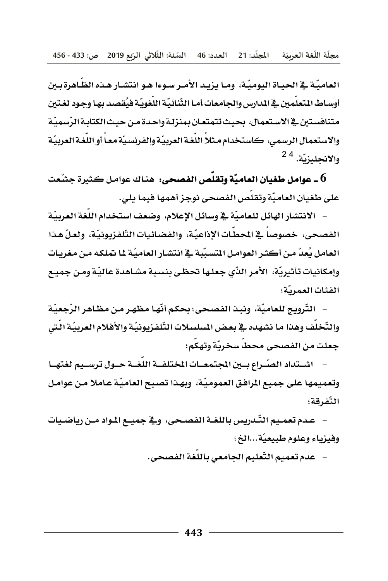العاميَّة في الحياة اليوميَّة، وما يزيد الأمر سوءا هـو انتشار هـذه الظَّاهرة بـين أوسـاط المتعلمين في المدارس والجـامعـات أمـا الثَّنائيّة اللُّغويّة فيُقصد بهـا وجـود لغـتين متنافستين في الاستعمال، بحيث تتمتعان بمنزلة واحدة من حيث الكتابة الرّسميّة والاستعمال الرسمي، كاستخدام مثلاً اللُّغة العربيّة والفرنسيّة معـاً أو اللُّغة العربيّة والانجليزيّة. <sup>4 2</sup>

على طغيان العاميّة وتقلّص الفصحي نوجز أهمها فيما يلي.

– الانتشار الهائل للعاميّة في وسائل الإعلام، وضعف استخدام اللغة العربيّة الفصحى، خصوصا في المحطات الإذاعيّة، والفضائيات التّلفزيونيّة، ولعلّ هذا العامل يُعدّ من أكثر العوامل المتسبِّبة في انتشار العاميّة 11 تملكه من مغريات وإمكانيات تأثيريّة، الأمر الذّي جعلها تحظى بنسبة مشاهدة عاليّة ومن جميع الفئات العمرسّة؛

– التّرويج للعاميّة، ونبذ الفصحي؛ بحكم أنّهـا مظهـر مـن مظـاهـر الرّجعيّة والتّخلُّف وهذا ما نشهده في بعض المسلسلات التّلفزيونيّة والأفلام العربيّة الّتي جعلت من الفصحي محط سخريّة وتهكم؛

اشتداد الصّراع بين المجتمعيات المختلفية اللغية حيول ترسيم لغتهيا وتعميمها على جميع الرافق العموميّة، وبهذا تصبح العاميّة عاملا من عوامل التّفرقة؛

– عدم تعمـيم التّـدريس باللغــة الفصـحى، و\_فــجميــع المـواد مــن رياضـيات وفيزياء وعلوم طبيعيّة...الخ؛

عدم تعميم التّعليم الجامعي باللغة الفصحي.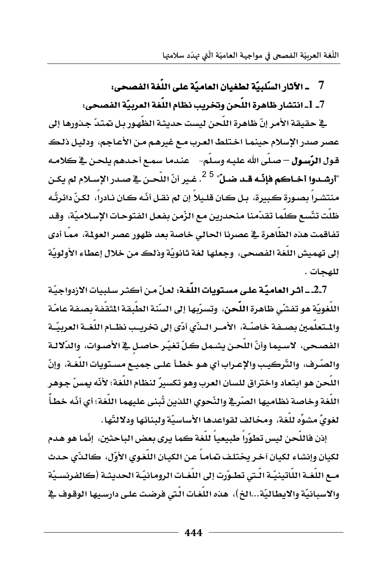#### \_ الآثار السّلبيّة لطغيان العاميّة على اللّغة الفصحي: 7

## 7\_ 1\_ انتشار ظاهرة اللّحن وتخريب نظام اللّغة العربيّة الفصحي:

ية حقيقة الأمر إنّ ظاهرة اللّحن ليست حديثة الظّهور بل تمتدّ جذورها إلى عصر صدر الإسلام حينما اختلط العرب مـع غيرهـم مـن الأعـاجم، ودليل ذلكـ قول الرّسول – صلّى الله عليه وسلّم– \_ عندما سمـع أحدهم يلحـن في كلامـه "أرشـدوا أخـاكم فإنّـه قـد ضـلّ<sup>" 25</sup>. غـير أنّ اللّحـن \_2 صـدر الإسـلام لم يكـن منتشراً بصورة كبيرة، بيل كان قليلاً إن لم نقبل أنّه كان نادراً، لكنّ دائرتُه ظلَت تتّسع كلّما تقدّمنا منحدرين مع الزّمن بفعل الفتوحات الإسلاميّة، وقد تفاقمت هذه الظاهرة في عصرنا الحالي خاصة بعد ظهور عصر العولمة، مما أدى إلى تهميش اللغة الفصحى، وجعلها لغة ثانويّة وذلك من خلال إعطاء الأولويّة للهحات .

2.7 \_ أشر العاميّة على مستويات اللّغة: لعلّ من أكثر سلبيات الازدواجيّة اللُّغويّة هو تفشّى ظاهرةِ اللَّحنِ، وتسرّبها إلى السّنةِ الطّبقةِ المُقَفّةِ بصفةِ عامّة والمتعلَّمين بصيفة خاصّية، الأمير البدِّي أدِّي إلى تخريب نظيام اللُّغية العربيّية الفصحى، لاسيما وأنّ اللّحن يشمل كلّ تغيّر حاصل في الأصوات، والدّلالـة والصّرف، والتّركيب والإعـراب أي هـو خطـأ علـي جميـع مسـتويات اللُّغـة، وإنّ اللَّحن هو ابتعاد وإختراق للسان العرب وهو تكسيرٌ لنظام اللُّغة؛ لأنَّه يمسِّ جـوهـر اللُّغة وخاصة نظاميها الصّريَّة والنّحوي اللذين تُبنى عليهما اللُّغة؛ أي أنّه خطأً لغويٌ مشوِّه للُّغة، ومخالف لقواعدها الأساسيّة ولينائها ودلالتّها.

إذن فاللّحن ليس تطوّرا طبيعيا للغة كما يرى بعض الباحثين، إنّما هو هدم لكيان وإنشاء لكيان آخر يختلف نمامـا عـن الكيـان اللغـوى الأوّل، كـالـذّى حـدث مـع اللُّغـة اللَّاتينيّـة الَّـتي تطـوّرت إلى اللُّغـات الرومـانيّـة الحديثـة (كالفرنسـيّة والاسبانيّة والايطاليّة...الخ)، هذه اللّغات الّتي فرضت على دارسيها الوقوف في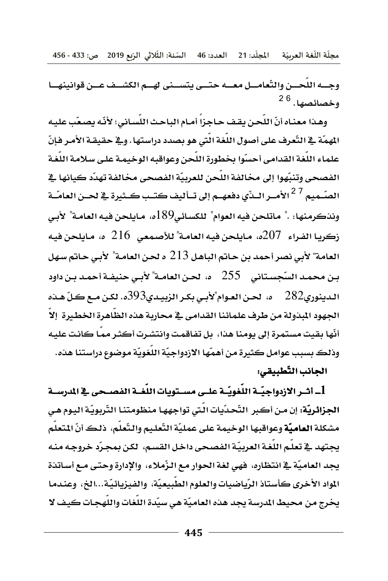مجلَّة اللُّغة العربيّة المجلَّد: 21 العدد: 46 السَّنة: الثَّلاثي الرَّبع 2019 ص: 433 - 456

وجسه اللحسن والتّعامسل معسه حتسى يتسسنى لهسم الكشسف عسن قوانينهسا وخصائصها. <sup>6 2</sup>

وهـذا مـعنـاه أنّ اللّحـن يقف حـاجـزاً أمـام البـاحـث اللّسـاني؛ لأنّـه يصـعّب عليـه المهمّة في التّعرف على أصول اللّغة الّتي هو بصدد دراستها. وفي حقيقة الأمـر فإنّ علماء اللُّغة القدامي أحسّوا بخطورة اللُّحن وعواقبه الوخيمـة على سـلامـة اللُّغـة الفصحي وتنبِّهوا إلى مخالفة اللَّحن للعربيَّة الفصحي مخالفة تهدِّد كيانها في الصّــميم <sup>27</sup>الأمــر الــدّي دفعهــم إلى تــأليف كتــب كــثيرة \_2ْ لحــن العامّــة ونِنكرمِنها: ." ماتلحن فيه العوام" للكسائي390ه، مـايلحن فيه العامـة" لأبـي زكريـا الفـراء- 207ه، مـايلحن فيـه العامـة" للأصـمعي- 216- ه، مـايلحن فيـه العامة" لأبي نصر أحمد بن حاتم الباهل 213 ه لحن العامـة" لأبي حـاتم سـهل بـن محمـد السّجسـتاني - 255 - ه، لحـن العامـة" لأبـي حنيضة أحمـد بـن داود الدينوري282 \_\_ ه، الحـن العـوام"لأبـي بكـر الزبيـدي393ه. لكـن مــع كـلّ هــذه الجهود المذولة من طرف علمائنا القدامي في محاربة هذه الظَّاهرة الخطيرة إلاَّ أنّها بقيت مستمرة إلى يومنا هذا، بل تفاقمت وانتشرت أكثر ممـا كانت عليه وذلك بسبب عوامل كثيرة من أهمّها الازدواجيّة اللغويّة موضوع دراستنا هذه.

### الجانب التّطبيقى:

1\_ أشـر الازدواجيّــة اللُّغويّــة علــي مســتويات اللُّغــة الفصــحي في المدرســة الجزائريَّة: إن مـن أكبر التَّحـدِّيات الَّتي تواجههـا منظومتنـا التَّربويَّـة اليـوم هـي مشكلة العاميّة وعواقبها الوخيمة على عمليّة التّعليم والتّعلّم، ذلك أنّ المتعلّم يجتهد في تعلُّم اللُّغـة العربيَّـة الفصحي داخـل القسـم، لكـن بمجـرِّد خروجـه منـه يجد العاميّة في انتظاره، فهي لغة الحوار مع الزّملاء، والإدارة وحتى مـع أسـاتذة المواد الأخرى كأستاذ الرّياضيات والعلوم الطبيعيّة، والفيزيائيّة...الخ، وعندما يخرج من محيط المرسة يجد هذه العاميّة هي سيّدة اللغات واللهجات كيف لا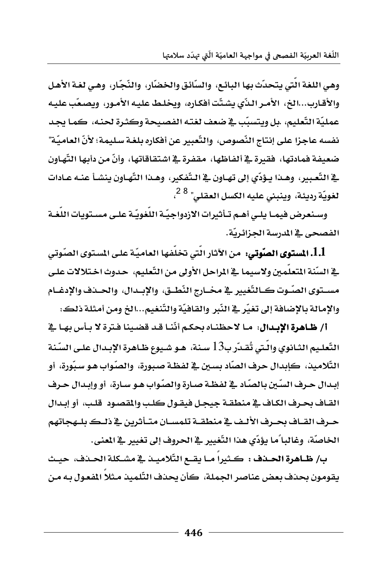وهي اللغة الَّتي يتحدَّث بها البائع، والسَّائق والخضَّار، والنَّجَّار، وهي لغـة الأهـل والأقـارب...الخ، الأمـر الـذّي يشتّت أفكـاره، ويخلـط عليـه الأمـور، ويصـعّب عليـه عمليّة التّعليم، .بل ويتسبّب في ضعف لغته الفصيحة وكثرة لحنه، كمـا يجـد نفسه عاجزًا على إنتاج النّصوص، والتّعبير عن أفكاره بلغة سليمة؛ لأنّ العاميّة" ضعيفة فمادتها، فقيرة فـألفاظها، مقفرة فـأشتقاقاتها، وأنَّ من دأيها التِّهاون \_2 التَّعبير، وهـذا يـؤدِّي إلى تهـاون \_2 الـتَّفكير، وهـذا التَّهـاون ينشـأ عنـه عـادات لغويّة رديئة، وينبني عليه الك*س*ل العقلي" <sup>8 2</sup>،

وسنعرض فيمـا يلـى أهـم تـأثيرات الازدواجيّـة اللّغويّـة علـى مسـتويات اللّغـة الفصحى في المدرسة الجزائريّة.

1.1. المستوى الصّوتي: من الآثار الّتي تخلّفها العاميّة على المستوى الصّوتي \_2 السِّنة المتعلِّمين ولاسبما \_2 الراحل الأولى من التَّعليم، حدوث اختلالات على مسـتوى الصّـوت كــالتّغيير \_في مخــارج النّطــق، والإبــدال، والحــدف والإدغــام والإمالة بالإضافة إلى تغيّر في النّبر والقافيّة والتّنغيم...الخ ومن أمثلة ذلك:

أ/ ظاهرة الإبدال: ما لاحظناه بحكم أنَّنا قد قضينا فترة لا بأس بها في التّعليم الثـانوي وإلّتي تُقـدّر ب13 سـنة، هـو شـيوع ظـاهرة الإبـدال علـي السّنة التّلاميذ، كإبدال حرف الصّاد بسين في لفظة صبورة، والصّواب هـو سبّورة، أو إبدال حرف السِّين بالصَّاد في لفظـة صـارة والصّواب هـو سـارة، أو وإبـدال حـرف القـاف بحـرف الكـاف في منطقـة جيجـل فيقـول كلـب والمقصـود. قلـب، أو إبـدال حـرف القــاف بحـرف الألـف في منطقــة تلمســان متــأثـرين في ذلــك بلــهجاتهم الخاصَّة، وغالباً ما يؤدِّي هذا التَّغييرِ في الحروف إلى تغييرِ في المني.

بِ/ ظـاهرةِ الحـذف : كـثيراً مـا يقـع التّلاميــذ في مشــكلةِ الحـدف، حيـث يقومون بحذف بعض عناصر الجملة، كأن يحذف التّلميذ مثلاً المفعول بـه مـن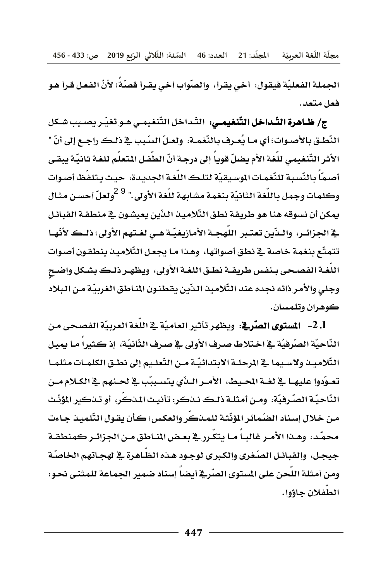مجلّة اللّغة العربيّة المجلّد: 21 العدد: 46 السّنة: الثّلاثي الرّبع 2019 ص: 433 - 456

الجملة الفعليّة فيقول: أخي يقرأ، والصّواب أخي يقـرأ قصّة؛ لأنّ الفعـل قـرأ هـو فعل متعد .

ج/ ظـاهرة التّـداخل التّنغيمـي: التّـداخل التّنغيمـي هـو تغيّـر يصـيب شـكل النّطـق بالأصـوات؛ أي مـا يُعـرف بالنّغمـة، ولعـلّ السّبب في ذلـك راجـع إلى أنّ " الأثر التّنغيمي للّغة الأم يضلّ قوياً إلى درجـة أنّ الطّفـل المتعلّم للغـة ثانيّة يبقـي أصمّاً بالنّسبة للنّغمات الموسيقيّة لتلك اللّغة الجديدة، حيث يتلفّظ أصوات وكلمات وجمل باللُّغة الثانيّة بنغمة مشابهة للُّغة الأولى." <sup>9 2</sup>ولعلّ أحسن مثـال يمكن أن نسوقه هنا هو طريقة نطق التّلاميذ الذّين يعيشون في منطقـة القبائـل \_2 الجزائـر، والـذّين تعتـبر اللّهجـة الأمازيغيّـة هـي لغـتهم الأولى؛ ذلـك لأنّهـا تتمتّع بنغمة خاصة في نطق أصواتها، وهذا مـا يجعـل التّلاميـذ ينطقـون أصـوات اللغـة الفصـحي بـنفس طريقـة نطـق اللغـة الأولى، ويظهـر ذلـك بشـكل واضـح وجلى والأمر ذاته نجده عند التّلاميذ الذّين يقطنون المناطق الغربيّة من البلاد كوهران وتلمسان.

1. 2– المستوى الصّرية: ويظهر تأثير العاميّة في اللّغة العربيّة الفصحى من النّاحيّة الصّرفيّة \_ اختلاط صرف الأولى \_ ضرف الثّانيّة، إذ كثيرا مـا يميل التّلاميـذ ولاسـيما في المرحلـة الابتدائيّـة مـن التّعلـيم إلى نطـق الكلمـات مثلمـا تعـوّدوا عليهـا في لغــة المحـيط، الأمــر الــدّي يتسـببّب في لحـنهم في الكــلام مــن النّاحيّـة الصّـرفيّة، ومـن أمثلـة ذلـك نـنكر: تأنيـث المنكر، أو تـنكير المؤنّـث من خلال إسناد الضّمائر المؤنّثة للمذكّر والعكس؛ كأن يقول التّلميذ جاءت محمّد، وهـذا الأمـر غالبـاً مـا يتكّرر ـ2 بعـض المـاطق مـن الجزائـر كمنطقـة جيجل، والقبائل الصّغري والكبرى لوجود هـذه الظـاهرة في لهجـاتهم الخاصّة ومن أمثلة اللَّحن على المستوى الصَّرِيُّ أيضاً إسناد ضمير الجماعة للمثنى نحو: الطفلان جاؤوا.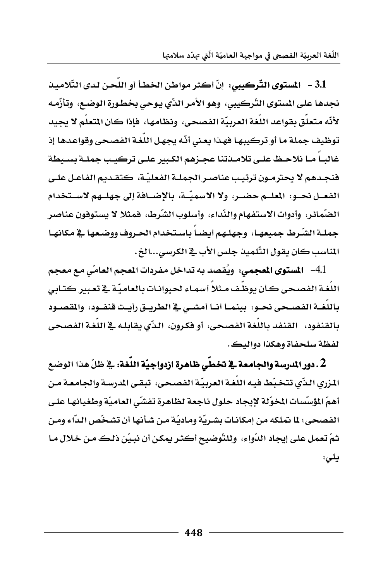اللُّغة العربيّة الفصحى في مواجهة العاميّة الّتي تهدّد سلامتها

3.1 - المستوى التّركيبي: إنّ أكثر مواطن الخطأ أو اللّحن لدى التّلاميذ نجدها على المستوى التّركيبي، وهو الأمر الذّي يوحي بخطورة الوضـع، وتأزّمـه لأنّه متعلق بقواعد اللغة العربيّة الفصحي، ونظامها، فإذا كان المتعلم لا يجيد توظيف جملة ما أو تركيبهـا فهـذا يعـني أنّـه يجهـل اللُّغـة الفصـحي وقواعـدهـا إذ غالبـا مـا نلاحـظ علـى تلامـدتنا عجـزهم الكبير علـى تركيـب جملـة بسـيطة فنجدهم لا يحترمـون ترتيب عناصـر الجملـة الفعليّـة، كتقـديم الفاعـل علـي الفعـل نحــو: الملــم حضــر، ولا الاسميّــة، بالإضــافة إلى جهلــهم لاســتخدام الضّمائر، وأدوات الاستفهام والنّداء، وأسلوب الشّرط، فمثلا لا يستوفون عناصر جملـة الشّـرط جميعهـا، وجهلـهم أيضـاً باسـتخدام الحـروف ووضـعهـا \_2 مكانهـا المناسب كان يقول التّلميذ جلس الأب في الكرسي...الخ.

4.1- المستوى المجمى: ويُقصد به تداخل مفردات المجم العامّي مع معجم اللُّغـة الفصـحي كـأن يوظّف مـثلاً أسمـاء لحيوانـات بـالعاميّـة في تعبير كتـابي باللغــة الفصــحى نحــو: بينمــا أنــا أمشــى \_\_ الطريــق رأيــت قنفــود، والمقصــود بالقنفود، القنفد باللغة الفصحى، أو فكرون، الذِّي يقابله في اللغة الفصحى لفظة سلحفاة وهكذا دواليك.

2 . دور الدرسة والجامعة في تخطِّي ظاهرة ازدواجيَّة اللُّغة: في ظلِّ هذا الوضع المزري البدِّي تتخيِّط فيه اللُّغة العربيَّة الفصحي، تبقِّي المدرسة والجامعة من أهمّ المؤسِّسات المخوِّلة لإيجاد حلول ناجعة لظاهرة تفشَّى العاميّة وطغيانها على الفصحي؛ لما يتملكه من إمكانـات بشـريّة ومـاديّة مـن شـأنها أن تشـخّص الـدّاء ومـن ثمّ تعمل على إيجاد الدّواء، ۖ وللتّوضيح أكثـر يمكن أن نبـيّن ذلـك مـن خـلال مـا يلى: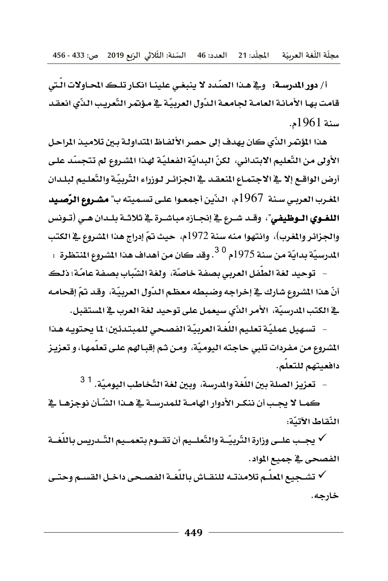أ/ دور المدرسة: ﴿ وَهِ هَـٰذَا الصَّددِ لا ينبغي علينـا انكـار تلـكـ الحـاولات الَّتي قامت بها الأمانـة العامـة لجامعـة الـدّول العربيّـة \_2 مؤتمر التّعريب الـذّي انعقـد سنة 1961م.

هذا المؤتمر الذِّي كان يهدف إلى حصر الألفـاظ المتداولـة بـين تلاميـذ المراحل الأولى من التَّعليم الابتدائي، لكنِّ البدايّة الفعليّة لهذا المشروع لم تتجسّد على أرض الواقع إلا ﴾ الاجتماع المنعقد ﴾ الجزائـر لـوزراء التّربيّـة والتّعلـيم لبلـدان الغرب العربي سنة 1967م، النَّين أجمعوا على تسميته ب" مشروع الرَّصيد اللغـوى الـوظيفي"، وقـد شـرع \_2 إنجـازه مباشـرة \_2 ثلاثـة بلـدان هـي (تـونس والجزائر والغرب)، وانتهوا منه سنة 1972م، حيث تمّ إدراج هذا الشروع في الكتب المدرسيّة بدايّة من سنة 1975م <sup>3.0</sup>. وقد كان من أهداف هذا المشروع المنتظرة :

– توحيد لغة الطَّفل العربي بصفة خاصَّة، ولغة الشّباب بصفة عامَّة؛ ذلك أنّ هذا الشروع شارك \_ إخراجه وضبطه معظم الدّول العربيّة، وقد تمّ إقحامـه فِي الكتب المدرسيَّة، الأمر الذِّي سيعمل على توحيد لغة العرب فِي المستقبل.

– - تسهيل عمليّة تعليم اللّغة العربيّة الفصحى للمبتدئين؛ لما يحتويه هذا المشروع من مفردات تلبي حاجته اليوميّة، ومـن ثـم إقبـالهم علـي تعلمهـا، و تعزيـز دافعيتهم للتعلم.

– تعزيز الصلة بين اللّغة والمدرسة، وبين لغة التّخاطب اليوميّة. <sup>1</sup> <sup>3</sup>

كمـا لا يجـب أن ننكـر الأدوار الهامــة للمدرســة في هــذا الشّــأن نوجزهـا في النّقاط الأتيّة:

√ يجـب علـي وزارةِ التّربيّــة والتّعلــيم أن تقــوم بتعمــيم التّــدريس باللّغــة الفصحى في جميع المواد.

√ تشـجيع المعلّـم تلامذتـه للنقــاش باللّغـة الفصـحي داخـل القسـم وحتـي خارجه.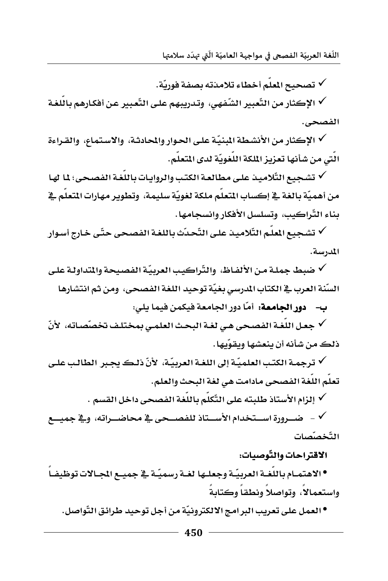اللُّغة العربيّة الفصعي في مواجهة العاميّة الّتي تهدّد سلامتها

√ تصحيح المعلّم أخطاء تلامذته بصفة فوريّة.

√ الإكثار من التَّعبير الشَّفهي، وتدريبهم على التَّعبير عن أفكارهم باللغـة الفصحى.

√ الإكثار من الأنشطة المبنيّة على الحوار والمحادثة، والاستماع، والقـراءة الَّتِي من شأنها تعزيز الملكة اللُّغويّة لدى المتعلّم.

√ تشجيع التّلاميذ على مطالعة الكتب والروايات باللغة الفصحي؛ 1\ لها من أهميّة بالغة في إكساب المتعلّم ملكة لغويّة سليمة، وتطوير مهارات المتعلّم في بناء التّراكيب، وتسلسل الأفكار وانسجامها.

√ تشجيع المعلّم التّلاميذ على التّحدّث باللغة الفصحي حتّى خارج أسوار المدرسة.

√ ضبط جملـة مـن الألفـاظ، والتّراكيب العربيّة الفصيحة والمتداولـة علـي السِّنة العرب في الكتاب المدرسي بغيّة توحيد اللغة الفصحى، ومن ثم انتشارها

ب- دور الجامعة: أمّا دور الجامعة فيكمن فيما يلي:

√ جعل اللغة الفصحي هي لغة البحث العلمي بمختلف تخصّصاته، لأنّ ذلك من شأنه أن ينعشها ويقوِّيها .

√ ترجمـة الكتب العلميّـة إلى اللغـة العربيّـة، الأنّ ذلـك يجـبر الطالب علـي تعلُّم اللُّغة الفصحي مادامت هي لغة البحث والعلم.

√ إلزام الأستاذ طلبته على التّكلّم باللّغة الفصحي داخل القسم .

التّخصّصات

### الاقتراحات والتّوصيات:

•الاهتمـام باللُّغـة العربيّـة وجعلـها لغـة رسميّـة \_في جميـع الجـالات توظيفـاً واستعمالا، وتواصلا ونطقا وكتابة

●العمل على تعريب البرامج الالكترونيّة من أجل توحيد طرائق التّواصل.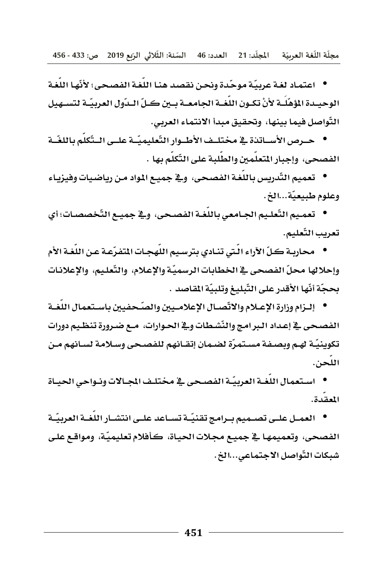● اعتمـاد لغـة عربيّـة موحّـدة ونحـن نقصد هنـا اللّغـة الفصـح*ـى*؛ لأنّهـا اللّغـة ا لوحيــدة المؤهّلــة لأنْ تكــون اللغــة الجـامعــة بــي*ن كــلّ* الــدّول العربيّــة لت*ســهي*ل التّواصل فيما بينها، وتحقيق مبدأ الانتماء العربي.

● حــرص الأســاتـنـة ـ**ـة مختلــف الأطــوار التّعليميّــة علــى الــتّكلّم باللغّــة** الفصحي، وإحبار المتعلّمين والطّلبة على التّكلّم بها .

● تعميم التّدريس باللّغة الفصحى، و<u>ِ </u> جميـع المواد مـن رياضيات وفيزيـاء وعلوم طبيعيّة...الخ.

● تعمـيم التّعلـيم الجـامعي باللّغـة الفصـحى، و\_<u>&</u> جميـع التّخصصـات؛ أي تعريب التّعليم.

● محاربـة كـلّ الآراء الّـتي تنـادي بترسـيم اللّـهجـات المتفرّعـة عـن اللّغـة الأم وإحلالها محلّ الفصحي <u>ي</u>ّ الخطابات الرسميّة والإعلام، والتّعليم، والإعلانات **بحجّة أنّها الأقدر على التّبليغ وتلبيّة المقاصد** .

● إلــزام وزارة الإعــلام والاتّصـــال الإعلامــيي*ن* والصّــحفيين بـا*ســتعم*ال اللّغــة الفصحى <u>ي</u>ة إعداد البرامج والنّشطات وية الحـوارات، مـع ضـرورة تنظـيم دورات تكوينيّـة لهـم وبصـفـة مسـتمـرّة لضـمـان إتقــانهم للفصـحـى وســلامـة لســانهم مــن اللحن.

● استعمال اللّغـة العربيّـة الفصـحي <u>ب</u>ة مختلـف المجـالات ونـواحي الحيـاة المقدة.

● العمـل علـى تصـميم بـرامج تقنيّـة تسـاعد علـى انتشـار اللّغـة العربيّـة الفصحى، وتعميمهـا في جميـع مجـلات الحيـاة، كـأفلام تعليميّـة، ومواقـع علـى شبكات التّواصل الاجتماع*ي.*..الخ.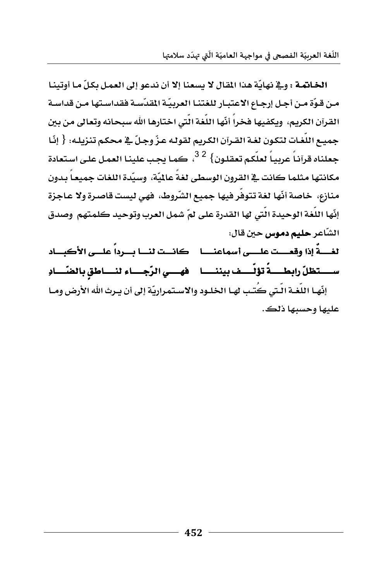الخانمة : وفي نهايّة هذا المقال لا يسعنا إلا أن ندعو إلى العمل بكلّ ما أوتينا مـن قـوّة مـن أجـل إرجـاع الاعتبـار للغتنـا العربيّـة المقدّسـة فقداسـتها مـن قداسـة القرآن الكريم، ويكفيها فخراً أنّها اللُّغة الّتي اختارها الله سبحانه وتعالى من بين جميع اللُّغات لتكون لغـة القـرآن الكريم لقولـه عـزّ وجلّ \_في محكم تنزيلـه: { إِنَّا حعلناه قرآناً عربياً لعلَّكم تعقلون} <sup>32</sup>، كما يحب علينا العمل على استعادة مكانتها مثلما كانت في القرون الوسطى لغةً عالميّة، وسيّدة اللغات جميعاً بدون منازع، خاصة أنّها لغة تتوفّر فيها جميع الشّروط، فهي ليست قاصرة ولا عاجزة إنّها اللّغة الوحيدة الّتى لها القدرة على لمّ شمل العرب وتوحيد كلمتهم وصدق الشّاعر **حليم دموس حين قال:** 

لغسةً إذا وقعست علسي أسماعنـــا - كانست لنسا بسرداً علسي الأكبساد ســـــتظلّ رابطـــــةً تؤلّــــف بيننـــــا فهــــي الرّجــــاء لنــــاطق بالضّــــادِ إنّهـا اللّغـة الّتي كُتب لهـا الخلـود والاسـتمراريّة إلى أن يـرث الله الأرض ومـا عليها وحسبها ذلك.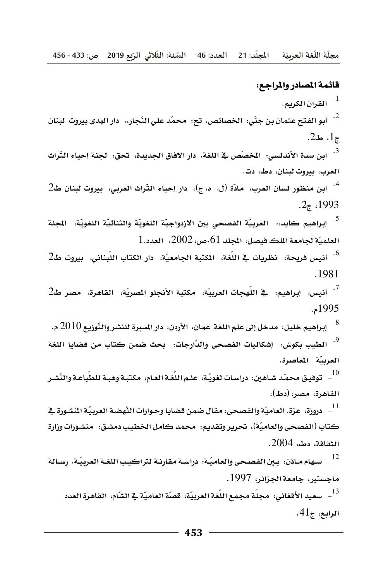#### قائمة المسادر والمراجع:

القرآن الكريم.  $^{-1}$  $.2$ به ط2. <sup>3</sup>- ابن سدة الأندلسى: المخصّص في اللغة، دار الأفاق الجديدة، تحق: لجنة إحياء التّراث العرب، بيروت لبنان، دط، دت. <sup>4</sup>- ابن منظور لسان العرب، مادّة (ل، ٥، ج)، دار إحياء التّراث العربي، بيروت لبنان ط2 .2 $\tau$  1993 <sup>5</sup>- إبراهيم كايد،: العربيّة الفصحي بين الازدواجيّة اللغويّة والثنائيّة اللغويّة، الجلة  $1.$ العلميّة لجامعة الملك فيصل، المجلد 61.ص، 2002، العدد ا  $2$ أنيس فريحة: نظريات في اللّغة، المكتبة الجامعيّة، دار الكتاب اللّبناني، بيروت ط $^6$ .1981 <sup>7</sup>- أنيس، إبراهيم: في اللّهجات العربيّة، مكتبة الأنجلو المصريّة، القاهرة، مصر ط2 1995م. والتَّوزيع  $10$  - إبراهيم خليل: مدخل إلى علم اللغة. عمان، الأردن: دار المسيرة للنشر والتَّوزيع  $2010$  م. <sup>9</sup>- الطيب بكوش: إشكاليات الفصحى والدّارجات: بحث ضمن كتاب من قضايا اللغة العربيّة المعاصرة. القاهرة، مصر، (دط)، <sup>11</sup> – دروزة، عزة. العاميّة والفصحى: مقال ضمن قضايا وحوارات النّهضة العربيّة المشورة <u>ـ</u>2 كتاب (الفصحي والعاميّة)، تحرير وتقديم: محمد كامل الخطيب دمشق: منشورات وزارة  $.2004$  الثقافة، دط،  $\,$ سهام مـاذن: بـين الفصـحى والعاميّـة: دراسـة مقارنـة لتراكيـب اللغـة العربيّـة، رسـالة -ماجستير، جامعة الجزائر، 1997.  $.41$ الرابع، ج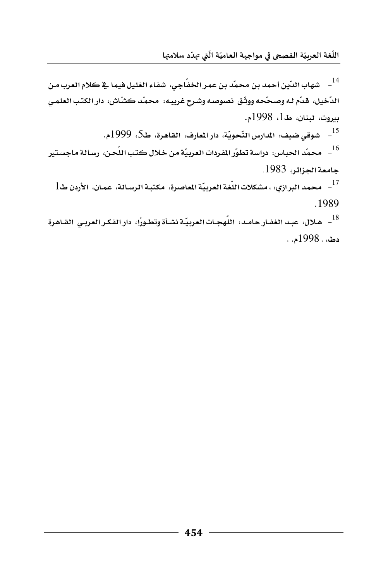.<br>اللّغة العربيّة الفصحى في مواجهة العاميّة الّتي تهدّد سلامتها ŕ ֦֧֦֡֕

<sup>14</sup> - شهاب الدّين أحمد بن محمّد بن عمر الخفّاجي، شفاء الغليل فيما ـ <u>2</u> كلام العرب من الدّخيل، قدّم لـه وصحّحه ووثّق نصوصه وشـرح غريبـه: محمّد كشّاش، دار الكتب العلم*ـى* بيروت، لبنان، ط1، 1998م. .<br><sup>15</sup> – شوق*ي ضي*ف: المدارس النّحويّة، دار المعارف، القاهرة، ط5، 1999م. ر محمّد الحباس: دراسة تطوّر المفردات العربيّة من خلال كتب اللّحن، رسالة ماجستير " **جامعة الجزائر، 1983**, 17 - محمد البرازي: ، *مش*كلات اللّغة العربيّة الماصرة، مكتبة الرسـالة، عمـان، الأردن ط $^{-17}$ **K**1989 <sup>18</sup> – هـلال، عبـد الغضار حامـد: اللّهجـات العربيّـة نشـأة وتطـورًا، دار الفكـر العربـي القــاهرة

 **دط، . 1998م. .**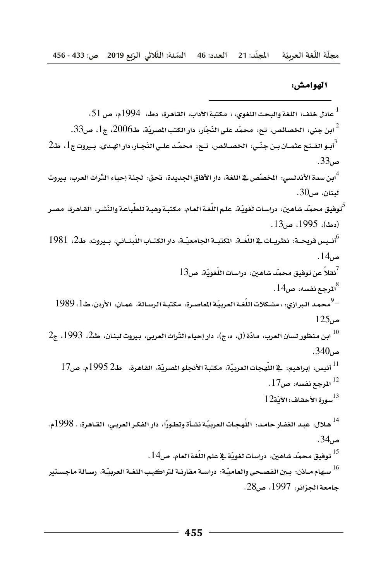مجلّة اللّغة العربيّة المجلّد: 21 العدد: 46 السّنة: الثّلاثي الرّبع 2019 ص: 433 - 456 ֦֡֡֜ ĭ ֦֧<u>֓</u> ֡֡֜֜ ֦֧֦֧֦ ֦֧֦֧֦֧֦֧֦֧֦֧֦֧֦֧֦֧֦֧֦֧֦֧ׅ֧֜֓<u>֚֓</u>

#### **الهوامش:**

لمادل خلف: اللغة والبحث اللغوي، : مكتبة الآداب، القاهرة، دط، 1994م، ص 51.<br>-.<br><sup>2</sup> ابن جني: الخصائص، تح: محمّد علي النّجّار، دار الكتب الصريّة، طـ2006، ج1، ص33. والفـتح عثمـان بـن جنّـي: الخصـائص، تـح. محمّـد علـي النّجـار، دار الهـدى، بـيروت ج1، ط2 كا **ص**33**K** لا: الأندلسي: المخصّص في اللغة، دار الآفاق الجديدة، تحق: لجنة إحياء التّراث العرب، بيروت<mark>.</mark> **Rن،ص**30**K**  .<br><sup>5</sup>توفيق محمّد شاهين: دراسات لغويّة، علم اللّغة العام، مكتبـة وهبـة للطّباعـة والنّشـر، القـاهرة، مصـر  **K**13**ص،**1995**،EدطF** أنـيس فريحــة: نظريــات ⊈ اللّغــة، المكتبــة الجامعيّــة، دار الكتــاب اللّبنــاني، بـيروت، ط2، 1981 °ـ **ص**14**K**   $^7$ نقلاً عن توفيق محمّد شاهين: درا*س*ات اللّغويّة، ص $^7$ **1**4للرجـع نفسه، ص14. <sup>9</sup> محمد البرازي: ، مشكلات اللّغة العربيّة الماصرة، مكتبة الرسالة، عمان، الأردن، ط1، 1989 **ص**125 1<sup>10</sup> ابن منظور لسان العرب، مادّة (ل، م،ج)، دار إحياء النّراث العربي، بيروت لبنـان، ط2، 1993، ج2 **ص**340**K** 11 أنيس، إبراهيم: قاللّهجات العربيّة، مكتبة الأنجلو المصريّة، القاهرة، حلـ2 1995م، ص17 <sup>12</sup> المرجع نفسه، ص17.  $12$ سورةِ الأحقافِ؛ الآيّة $^{13}$ <sup>14</sup> هـلال، عبـد الغضار حامـد. اللّهجـات العربيّـة نشـأة وتطـورًا، دار الفكـر العربـي، القـاهرة، . 1998م. **ص**34**K**  <sup>15</sup> توفيق محمّد شاهين: دراسات لغويّة ـڤـِ علم اللّغة العام، ص14. <sup>16</sup> سـهام مـاذن: بـين الفصـحى والعاميّـة: دراسـة مقارنـة لتراكيب اللغـة العربيّـة، رسـالة ماجسـتير جامعة الجزائر، 1997، ص28.